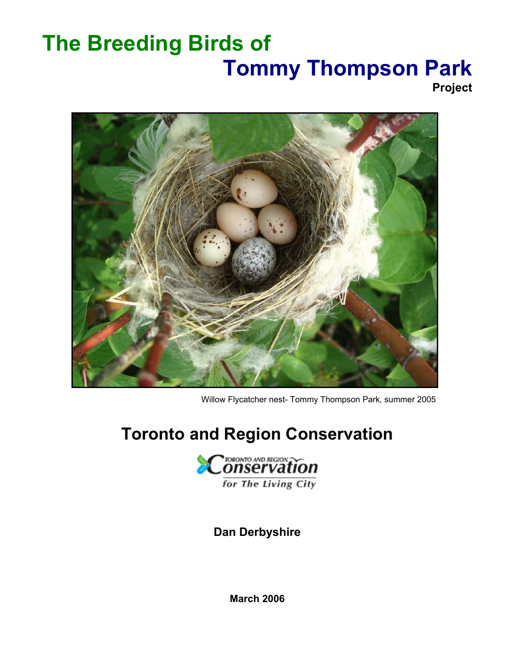# **The Breeding Birds of Tommy Thompson Park**

**Project** 



Willow Flycatcher nest- Tommy Thompson Park, summer 2005

## **Toronto and Region Conservation**



**Dan Derbyshire** 

**March 2006**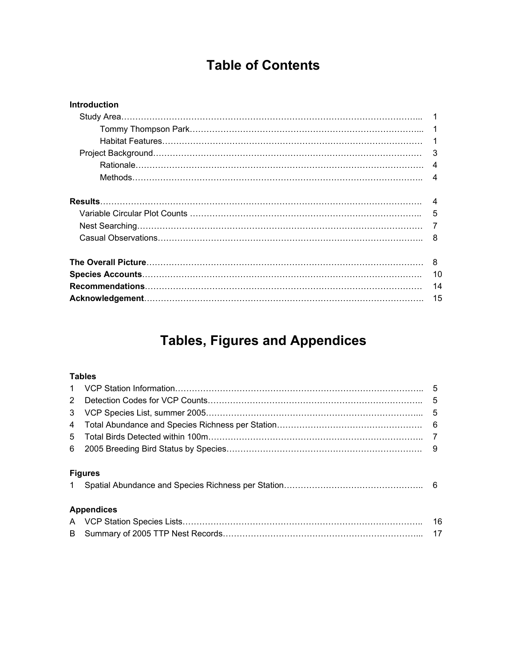## **Table of Contents**

| <b>Introduction</b> |    |
|---------------------|----|
|                     |    |
|                     |    |
|                     |    |
|                     | 3  |
|                     | 4  |
|                     | 4  |
|                     | 4  |
|                     | 5  |
|                     |    |
|                     | 8  |
|                     | 8  |
|                     | 10 |
|                     | 14 |
|                     | 15 |

## **Tables, Figures and Appendices**

### **Tables**

|              |                   | 5  |
|--------------|-------------------|----|
| 2            |                   | .5 |
| 3            |                   |    |
| 4            |                   |    |
| 5            |                   |    |
|              |                   |    |
| $\mathbf{1}$ | <b>Figures</b>    |    |
|              |                   |    |
|              | <b>Appendices</b> |    |
|              |                   | 16 |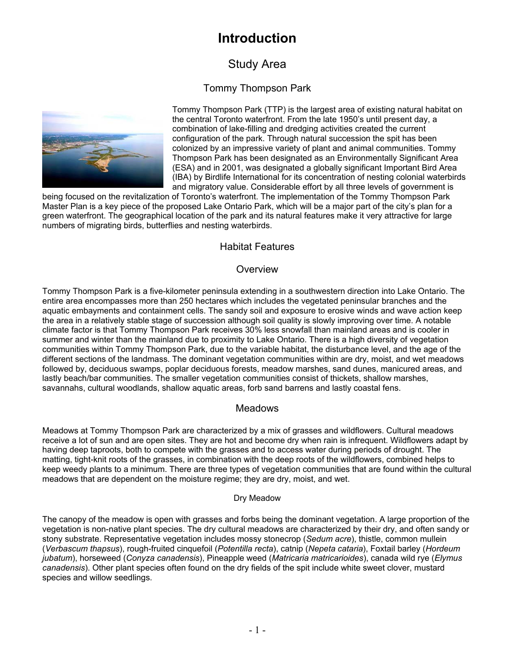## **Introduction**

## Study Area

## Tommy Thompson Park



Tommy Thompson Park (TTP) is the largest area of existing natural habitat on the central Toronto waterfront. From the late 1950's until present day, a combination of lake-filling and dredging activities created the current configuration of the park. Through natural succession the spit has been colonized by an impressive variety of plant and animal communities. Tommy Thompson Park has been designated as an Environmentally Significant Area (ESA) and in 2001, was designated a globally significant Important Bird Area (IBA) by Birdlife International for its concentration of nesting colonial waterbirds and migratory value. Considerable effort by all three levels of government is

being focused on the revitalization of Toronto's waterfront. The implementation of the Tommy Thompson Park Master Plan is a key piece of the proposed Lake Ontario Park, which will be a major part of the city's plan for a green waterfront. The geographical location of the park and its natural features make it very attractive for large numbers of migrating birds, butterflies and nesting waterbirds.

### Habitat Features

#### **Overview**

Tommy Thompson Park is a five-kilometer peninsula extending in a southwestern direction into Lake Ontario. The entire area encompasses more than 250 hectares which includes the vegetated peninsular branches and the aquatic embayments and containment cells. The sandy soil and exposure to erosive winds and wave action keep the area in a relatively stable stage of succession although soil quality is slowly improving over time. A notable climate factor is that Tommy Thompson Park receives 30% less snowfall than mainland areas and is cooler in summer and winter than the mainland due to proximity to Lake Ontario. There is a high diversity of vegetation communities within Tommy Thompson Park, due to the variable habitat, the disturbance level, and the age of the different sections of the landmass. The dominant vegetation communities within are dry, moist, and wet meadows followed by, deciduous swamps, poplar deciduous forests, meadow marshes, sand dunes, manicured areas, and lastly beach/bar communities. The smaller vegetation communities consist of thickets, shallow marshes, savannahs, cultural woodlands, shallow aquatic areas, forb sand barrens and lastly coastal fens.

### Meadows

Meadows at Tommy Thompson Park are characterized by a mix of grasses and wildflowers. Cultural meadows receive a lot of sun and are open sites. They are hot and become dry when rain is infrequent. Wildflowers adapt by having deep taproots, both to compete with the grasses and to access water during periods of drought. The matting, tight-knit roots of the grasses, in combination with the deep roots of the wildflowers, combined helps to keep weedy plants to a minimum. There are three types of vegetation communities that are found within the cultural meadows that are dependent on the moisture regime; they are dry, moist, and wet.

#### Dry Meadow

The canopy of the meadow is open with grasses and forbs being the dominant vegetation. A large proportion of the vegetation is non-native plant species. The dry cultural meadows are characterized by their dry, and often sandy or stony substrate. Representative vegetation includes mossy stonecrop (*Sedum acre*), thistle, common mullein (*Verbascum thapsus*), rough-fruited cinquefoil (*Potentilla recta*), catnip (*Nepeta cataria*), Foxtail barley (*Hordeum jubatum*), horseweed (*Conyza canadensis*), Pineapple weed (*Matricaria matricarioides*), canada wild rye (*Elymus canadensis*). Other plant species often found on the dry fields of the spit include white sweet clover, mustard species and willow seedlings.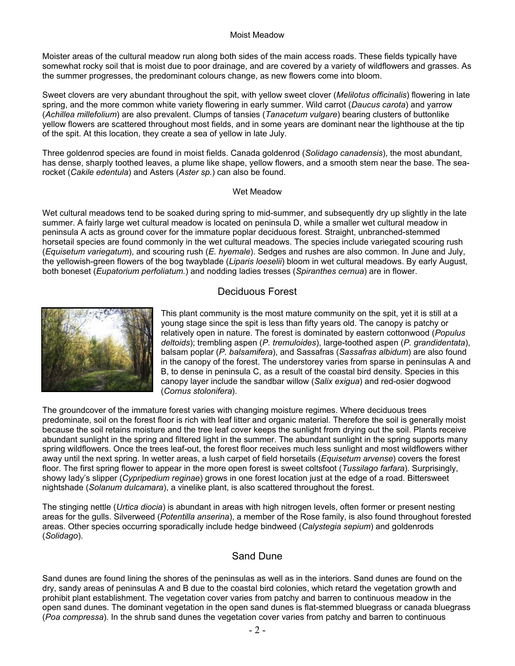#### Moist Meadow

Moister areas of the cultural meadow run along both sides of the main access roads. These fields typically have somewhat rocky soil that is moist due to poor drainage, and are covered by a variety of wildflowers and grasses. As the summer progresses, the predominant colours change, as new flowers come into bloom.

Sweet clovers are very abundant throughout the spit, with yellow sweet clover (*Melilotus officinalis*) flowering in late spring, and the more common white variety flowering in early summer. Wild carrot (*Daucus carota*) and yarrow (*Achillea millefolium*) are also prevalent. Clumps of tansies (*Tanacetum vulgare*) bearing clusters of buttonlike yellow flowers are scattered throughout most fields, and in some years are dominant near the lighthouse at the tip of the spit. At this location, they create a sea of yellow in late July.

Three goldenrod species are found in moist fields. Canada goldenrod (*Solidago canadensis*), the most abundant, has dense, sharply toothed leaves, a plume like shape, yellow flowers, and a smooth stem near the base. The searocket (*Cakile edentula*) and Asters (*Aster sp.*) can also be found.

#### Wet Meadow

Wet cultural meadows tend to be soaked during spring to mid-summer, and subsequently dry up slightly in the late summer. A fairly large wet cultural meadow is located on peninsula D, while a smaller wet cultural meadow in peninsula A acts as ground cover for the immature poplar deciduous forest. Straight, unbranched-stemmed horsetail species are found commonly in the wet cultural meadows. The species include variegated scouring rush (*Equisetum variegatum*), and scouring rush (*E. hyemale*). Sedges and rushes are also common. In June and July, the yellowish-green flowers of the bog twayblade (*Liparis loeselii*) bloom in wet cultural meadows. By early August, both boneset (*Eupatorium perfoliatum.*) and nodding ladies tresses (*Spiranthes cernua*) are in flower.

#### Deciduous Forest



This plant community is the most mature community on the spit, yet it is still at a young stage since the spit is less than fifty years old. The canopy is patchy or relatively open in nature. The forest is dominated by eastern cottonwood (*Populus deltoids*); trembling aspen (*P. tremuloides*), large-toothed aspen (*P. grandidentata*), balsam poplar (*P. balsamifera*), and Sassafras (*Sassafras albidum*) are also found in the canopy of the forest. The understorey varies from sparse in peninsulas A and B, to dense in peninsula C, as a result of the coastal bird density. Species in this canopy layer include the sandbar willow (*Salix exigua*) and red-osier dogwood (*Cornus stolonifera*).

The groundcover of the immature forest varies with changing moisture regimes. Where deciduous trees predominate, soil on the forest floor is rich with leaf litter and organic material. Therefore the soil is generally moist because the soil retains moisture and the tree leaf cover keeps the sunlight from drying out the soil. Plants receive abundant sunlight in the spring and filtered light in the summer. The abundant sunlight in the spring supports many spring wildflowers. Once the trees leaf-out, the forest floor receives much less sunlight and most wildflowers wither away until the next spring. In wetter areas, a lush carpet of field horsetails (*Equisetum arvense*) covers the forest floor. The first spring flower to appear in the more open forest is sweet coltsfoot (*Tussilago farfara*). Surprisingly, showy lady's slipper (*Cypripedium reginae*) grows in one forest location just at the edge of a road. Bittersweet nightshade (*Solanum dulcamara*), a vinelike plant, is also scattered throughout the forest.

The stinging nettle (*Urtica diocia*) is abundant in areas with high nitrogen levels, often former or present nesting areas for the gulls. Silverweed (*Potentilla anserina*), a member of the Rose family, is also found throughout forested areas. Other species occurring sporadically include hedge bindweed (*Calystegia sepium*) and goldenrods (*Solidago*).

### Sand Dune

Sand dunes are found lining the shores of the peninsulas as well as in the interiors. Sand dunes are found on the dry, sandy areas of peninsulas A and B due to the coastal bird colonies, which retard the vegetation growth and prohibit plant establishment. The vegetation cover varies from patchy and barren to continuous meadow in the open sand dunes. The dominant vegetation in the open sand dunes is flat-stemmed bluegrass or canada bluegrass (*Poa compressa*). In the shrub sand dunes the vegetation cover varies from patchy and barren to continuous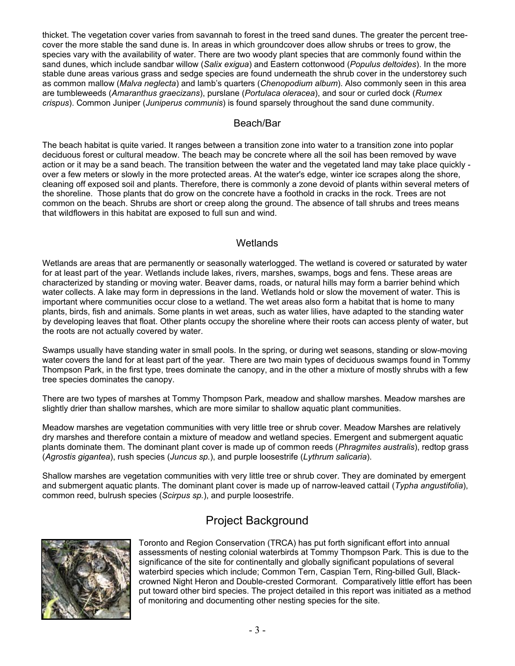thicket. The vegetation cover varies from savannah to forest in the treed sand dunes. The greater the percent treecover the more stable the sand dune is. In areas in which groundcover does allow shrubs or trees to grow, the species vary with the availability of water. There are two woody plant species that are commonly found within the sand dunes, which include sandbar willow (*Salix exigua*) and Eastern cottonwood (*Populus deltoides*). In the more stable dune areas various grass and sedge species are found underneath the shrub cover in the understorey such as common mallow (*Malva neglecta*) and lamb's quarters (*Chenopodium album*). Also commonly seen in this area are tumbleweeds (*Amaranthus graecizans*), purslane (*Portulaca oleracea*), and sour or curled dock (*Rumex crispus*). Common Juniper (*Juniperus communis*) is found sparsely throughout the sand dune community.

#### Beach/Bar

The beach habitat is quite varied. It ranges between a transition zone into water to a transition zone into poplar deciduous forest or cultural meadow. The beach may be concrete where all the soil has been removed by wave action or it may be a sand beach. The transition between the water and the vegetated land may take place quickly over a few meters or slowly in the more protected areas. At the water's edge, winter ice scrapes along the shore, cleaning off exposed soil and plants. Therefore, there is commonly a zone devoid of plants within several meters of the shoreline. Those plants that do grow on the concrete have a foothold in cracks in the rock. Trees are not common on the beach. Shrubs are short or creep along the ground. The absence of tall shrubs and trees means that wildflowers in this habitat are exposed to full sun and wind.

### **Wetlands**

Wetlands are areas that are permanently or seasonally waterlogged. The wetland is covered or saturated by water for at least part of the year. Wetlands include lakes, rivers, marshes, swamps, bogs and fens. These areas are characterized by standing or moving water. Beaver dams, roads, or natural hills may form a barrier behind which water collects. A lake may form in depressions in the land. Wetlands hold or slow the movement of water. This is important where communities occur close to a wetland. The wet areas also form a habitat that is home to many plants, birds, fish and animals. Some plants in wet areas, such as water lilies, have adapted to the standing water by developing leaves that float. Other plants occupy the shoreline where their roots can access plenty of water, but the roots are not actually covered by water.

Swamps usually have standing water in small pools. In the spring, or during wet seasons, standing or slow-moving water covers the land for at least part of the year. There are two main types of deciduous swamps found in Tommy Thompson Park, in the first type, trees dominate the canopy, and in the other a mixture of mostly shrubs with a few tree species dominates the canopy.

There are two types of marshes at Tommy Thompson Park, meadow and shallow marshes. Meadow marshes are slightly drier than shallow marshes, which are more similar to shallow aquatic plant communities.

Meadow marshes are vegetation communities with very little tree or shrub cover. Meadow Marshes are relatively dry marshes and therefore contain a mixture of meadow and wetland species. Emergent and submergent aquatic plants dominate them. The dominant plant cover is made up of common reeds (*Phragmites australis*), redtop grass (*Agrostis gigantea*), rush species (*Juncus sp.*), and purple loosestrife (*Lythrum salicaria*).

Shallow marshes are vegetation communities with very little tree or shrub cover. They are dominated by emergent and submergent aquatic plants. The dominant plant cover is made up of narrow-leaved cattail (*Typha angustifolia*), common reed, bulrush species (*Scirpus sp.*), and purple loosestrife.

## Project Background



Toronto and Region Conservation (TRCA) has put forth significant effort into annual assessments of nesting colonial waterbirds at Tommy Thompson Park. This is due to the significance of the site for continentally and globally significant populations of several waterbird species which include; Common Tern, Caspian Tern, Ring-billed Gull, Blackcrowned Night Heron and Double-crested Cormorant. Comparatively little effort has been put toward other bird species. The project detailed in this report was initiated as a method of monitoring and documenting other nesting species for the site.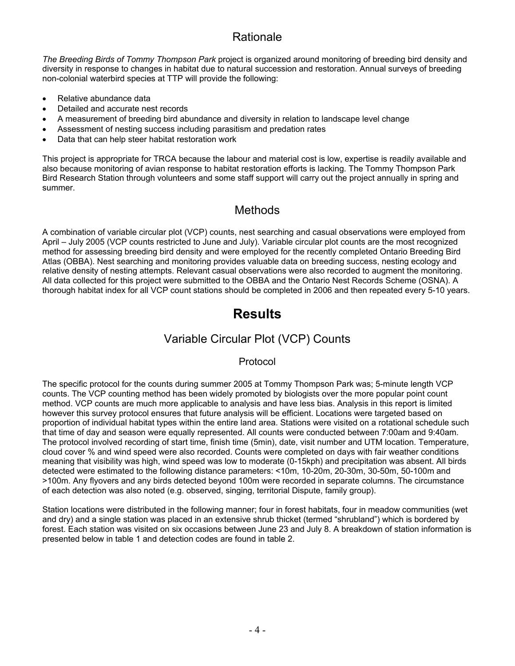## **Rationale**

*The Breeding Birds of Tommy Thompson Park* project is organized around monitoring of breeding bird density and diversity in response to changes in habitat due to natural succession and restoration. Annual surveys of breeding non-colonial waterbird species at TTP will provide the following:

- Relative abundance data
- Detailed and accurate nest records
- A measurement of breeding bird abundance and diversity in relation to landscape level change
- Assessment of nesting success including parasitism and predation rates
- Data that can help steer habitat restoration work

This project is appropriate for TRCA because the labour and material cost is low, expertise is readily available and also because monitoring of avian response to habitat restoration efforts is lacking. The Tommy Thompson Park Bird Research Station through volunteers and some staff support will carry out the project annually in spring and summer.

## **Methods**

A combination of variable circular plot (VCP) counts, nest searching and casual observations were employed from April – July 2005 (VCP counts restricted to June and July). Variable circular plot counts are the most recognized method for assessing breeding bird density and were employed for the recently completed Ontario Breeding Bird Atlas (OBBA). Nest searching and monitoring provides valuable data on breeding success, nesting ecology and relative density of nesting attempts. Relevant casual observations were also recorded to augment the monitoring. All data collected for this project were submitted to the OBBA and the Ontario Nest Records Scheme (OSNA). A thorough habitat index for all VCP count stations should be completed in 2006 and then repeated every 5-10 years.

## **Results**

## Variable Circular Plot (VCP) Counts

### Protocol

The specific protocol for the counts during summer 2005 at Tommy Thompson Park was; 5-minute length VCP counts. The VCP counting method has been widely promoted by biologists over the more popular point count method. VCP counts are much more applicable to analysis and have less bias. Analysis in this report is limited however this survey protocol ensures that future analysis will be efficient. Locations were targeted based on proportion of individual habitat types within the entire land area. Stations were visited on a rotational schedule such that time of day and season were equally represented. All counts were conducted between 7:00am and 9:40am. The protocol involved recording of start time, finish time (5min), date, visit number and UTM location. Temperature, cloud cover % and wind speed were also recorded. Counts were completed on days with fair weather conditions meaning that visibility was high, wind speed was low to moderate (0-15kph) and precipitation was absent. All birds detected were estimated to the following distance parameters: <10m, 10-20m, 20-30m, 30-50m, 50-100m and >100m. Any flyovers and any birds detected beyond 100m were recorded in separate columns. The circumstance of each detection was also noted (e.g. observed, singing, territorial Dispute, family group).

Station locations were distributed in the following manner; four in forest habitats, four in meadow communities (wet and dry) and a single station was placed in an extensive shrub thicket (termed "shrubland") which is bordered by forest. Each station was visited on six occasions between June 23 and July 8. A breakdown of station information is presented below in table 1 and detection codes are found in table 2.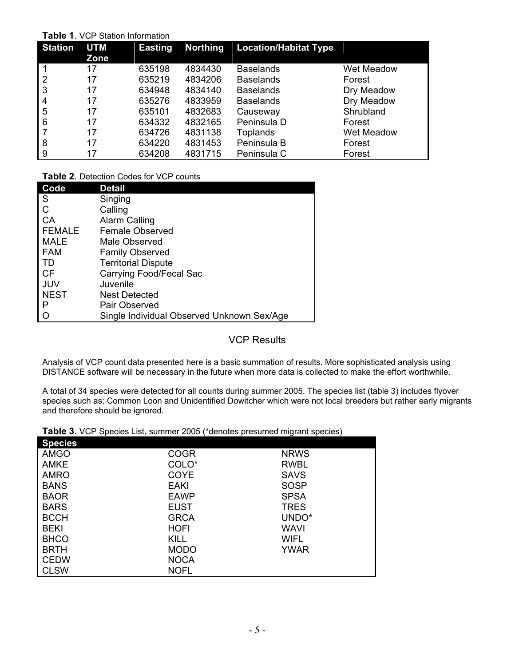#### **Table 1**. VCP Station Information

| <b>Station</b> | <b>UTM</b><br><b>Zone</b> | <b>Easting</b> | <b>Northing</b> | <b>Location/Habitat Type</b> |            |
|----------------|---------------------------|----------------|-----------------|------------------------------|------------|
|                | 17                        | 635198         | 4834430         | <b>Baselands</b>             | Wet Meadow |
| 2              | 17                        | 635219         | 4834206         | <b>Baselands</b>             | Forest     |
| 3              | 17                        | 634948         | 4834140         | <b>Baselands</b>             | Dry Meadow |
| 4              | 17                        | 635276         | 4833959         | <b>Baselands</b>             | Dry Meadow |
| 5              | 17                        | 635101         | 4832683         | Causeway                     | Shrubland  |
| 6              | 17                        | 634332         | 4832165         | Peninsula D                  | Forest     |
|                | 17                        | 634726         | 4831138         | Toplands                     | Wet Meadow |
| 8              | 17                        | 634220         | 4831453         | Peninsula B                  | Forest     |
| 9              | 17                        | 634208         | 4831715         | Peninsula C                  | Forest     |

**Table 2**. Detection Codes for VCP counts

| Code          | <b>Detail</b>                              |
|---------------|--------------------------------------------|
| S             | Singing                                    |
| C             | Calling                                    |
| CA            | Alarm Calling                              |
| <b>FEMALE</b> | Female Observed                            |
| <b>MALE</b>   | Male Observed                              |
| <b>FAM</b>    | <b>Family Observed</b>                     |
| TD            | <b>Territorial Dispute</b>                 |
| <b>CF</b>     | Carrying Food/Fecal Sac                    |
| JUV           | Juvenile                                   |
| <b>NEST</b>   | <b>Nest Detected</b>                       |
| P             | Pair Observed                              |
| Ω             | Single Individual Observed Unknown Sex/Age |

## VCP Results

Analysis of VCP count data presented here is a basic summation of results. More sophisticated analysis using DISTANCE software will be necessary in the future when more data is collected to make the effort worthwhile.

A total of 34 species were detected for all counts during summer 2005. The species list (table 3) includes flyover species such as; Common Loon and Unidentified Dowitcher which were not local breeders but rather early migrants and therefore should be ignored.

| Table 3. VCP Species List, summer 2005 (*denotes presumed migrant species) |  |
|----------------------------------------------------------------------------|--|
|----------------------------------------------------------------------------|--|

| <b>Species</b> |             |             |
|----------------|-------------|-------------|
| <b>AMGO</b>    | <b>COGR</b> | <b>NRWS</b> |
| <b>AMKE</b>    | COLO*       | <b>RWBL</b> |
| <b>AMRO</b>    | <b>COYE</b> | <b>SAVS</b> |
| <b>BANS</b>    | EAKI        | <b>SOSP</b> |
| <b>BAOR</b>    | <b>EAWP</b> | <b>SPSA</b> |
| <b>BARS</b>    | <b>EUST</b> | <b>TRES</b> |
| <b>BCCH</b>    | <b>GRCA</b> | UNDO*       |
| <b>BEKI</b>    | <b>HOFI</b> | <b>WAVI</b> |
| <b>BHCO</b>    | <b>KILL</b> | <b>WIFL</b> |
| <b>BRTH</b>    | <b>MODO</b> | YWAR        |
| <b>CEDW</b>    | <b>NOCA</b> |             |
| <b>CLSW</b>    | <b>NOFL</b> |             |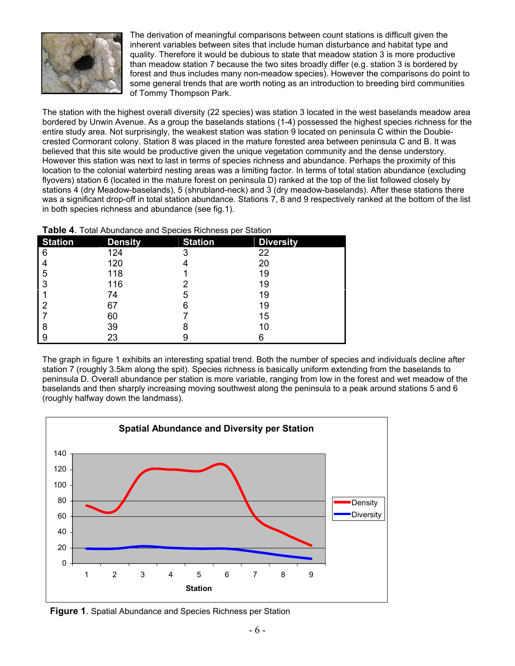

The derivation of meaningful comparisons between count stations is difficult given the inherent variables between sites that include human disturbance and habitat type and quality. Therefore it would be dubious to state that meadow station 3 is more productive than meadow station 7 because the two sites broadly differ (e.g. station 3 is bordered by forest and thus includes many non-meadow species). However the comparisons do point to some general trends that are worth noting as an introduction to breeding bird communities of Tommy Thompson Park.

The station with the highest overall diversity (22 species) was station 3 located in the west baselands meadow area bordered by Unwin Avenue. As a group the baselands stations (1-4) possessed the highest species richness for the entire study area. Not surprisingly, the weakest station was station 9 located on peninsula C within the Doublecrested Cormorant colony. Station 8 was placed in the mature forested area between peninsula C and B. It was believed that this site would be productive given the unique vegetation community and the dense understory. However this station was next to last in terms of species richness and abundance. Perhaps the proximity of this location to the colonial waterbird nesting areas was a limiting factor. In terms of total station abundance (excluding flyovers) station 6 (located in the mature forest on peninsula D) ranked at the top of the list followed closely by stations 4 (dry Meadow-baselands), 5 (shrubland-neck) and 3 (dry meadow-baselands). After these stations there was a significant drop-off in total station abundance. Stations 7, 8 and 9 respectively ranked at the bottom of the list in both species richness and abundance (see fig.1).

**Table 4**. Total Abundance and Species Richness per Station

| <b>Station</b> | <b>Density</b> | <b>Station</b> | <b>Diversity</b> |
|----------------|----------------|----------------|------------------|
| 6              | 124            | 3              | 22               |
|                | 120            |                | 20               |
| 5              | 118            |                | 19               |
| 3              | 116            |                | 19               |
|                | 74             | 5              | 19               |
| 2              | 67             |                | 19               |
|                | 60             |                | 15               |
| 8              | 39             |                | 10               |
| 9              | 23             |                |                  |

The graph in figure 1 exhibits an interesting spatial trend. Both the number of species and individuals decline after station 7 (roughly 3.5km along the spit). Species richness is basically uniform extending from the baselands to peninsula D. Overall abundance per station is more variable, ranging from low in the forest and wet meadow of the baselands and then sharply increasing moving southwest along the peninsula to a peak around stations 5 and 6 (roughly halfway down the landmass).



**Figure 1**. Spatial Abundance and Species Richness per Station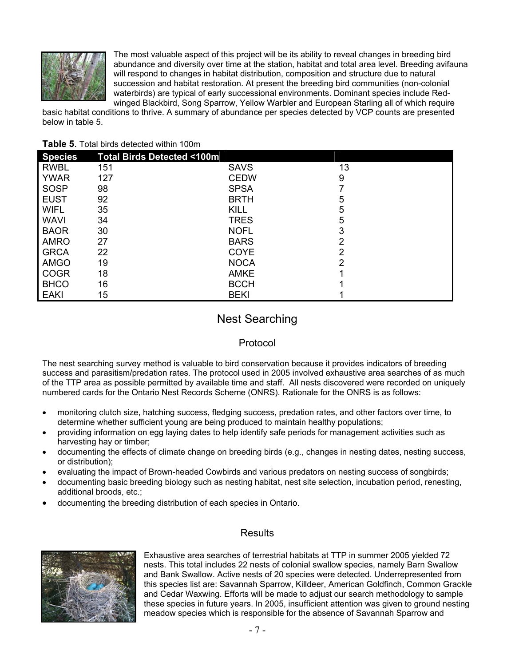

The most valuable aspect of this project will be its ability to reveal changes in breeding bird abundance and diversity over time at the station, habitat and total area level. Breeding avifauna will respond to changes in habitat distribution, composition and structure due to natural succession and habitat restoration. At present the breeding bird communities (non-colonial waterbirds) are typical of early successional environments. Dominant species include Redwinged Blackbird, Song Sparrow, Yellow Warbler and European Starling all of which require

basic habitat conditions to thrive. A summary of abundance per species detected by VCP counts are presented below in table 5.

#### **Table 5**. Total birds detected within 100m

| <b>Species</b> | Total Birds Detected <100m |             |                |
|----------------|----------------------------|-------------|----------------|
| <b>RWBL</b>    | 151                        | <b>SAVS</b> | 13             |
| <b>YWAR</b>    | 127                        | <b>CEDW</b> | 9              |
| <b>SOSP</b>    | 98                         | <b>SPSA</b> |                |
| <b>EUST</b>    | 92                         | <b>BRTH</b> | 5              |
| <b>WIFL</b>    | 35                         | <b>KILL</b> | 5              |
| <b>WAVI</b>    | 34                         | <b>TRES</b> | 5              |
| <b>BAOR</b>    | 30                         | <b>NOFL</b> | 3              |
| <b>AMRO</b>    | 27                         | <b>BARS</b> | $\overline{2}$ |
| <b>GRCA</b>    | 22                         | <b>COYE</b> | 2              |
| <b>AMGO</b>    | 19                         | <b>NOCA</b> | 2              |
| <b>COGR</b>    | 18                         | <b>AMKE</b> |                |
| <b>BHCO</b>    | 16                         | <b>BCCH</b> |                |
| <b>EAKI</b>    | 15                         | <b>BEKI</b> |                |

## Nest Searching

### Protocol

The nest searching survey method is valuable to bird conservation because it provides indicators of breeding success and parasitism/predation rates. The protocol used in 2005 involved exhaustive area searches of as much of the TTP area as possible permitted by available time and staff. All nests discovered were recorded on uniquely numbered cards for the Ontario Nest Records Scheme (ONRS). Rationale for the ONRS is as follows:

- monitoring clutch size, hatching success, fledging success, predation rates, and other factors over time, to determine whether sufficient young are being produced to maintain healthy populations;
- providing information on egg laying dates to help identify safe periods for management activities such as harvesting hay or timber;
- documenting the effects of climate change on breeding birds (e.g., changes in nesting dates, nesting success, or distribution);
- evaluating the impact of Brown-headed Cowbirds and various predators on nesting success of songbirds;
- documenting basic breeding biology such as nesting habitat, nest site selection, incubation period, renesting, additional broods, etc.;
- documenting the breeding distribution of each species in Ontario.



### **Results**

Exhaustive area searches of terrestrial habitats at TTP in summer 2005 yielded 72 nests. This total includes 22 nests of colonial swallow species, namely Barn Swallow and Bank Swallow. Active nests of 20 species were detected. Underrepresented from this species list are: Savannah Sparrow, Killdeer, American Goldfinch, Common Grackle and Cedar Waxwing. Efforts will be made to adjust our search methodology to sample these species in future years. In 2005, insufficient attention was given to ground nesting meadow species which is responsible for the absence of Savannah Sparrow and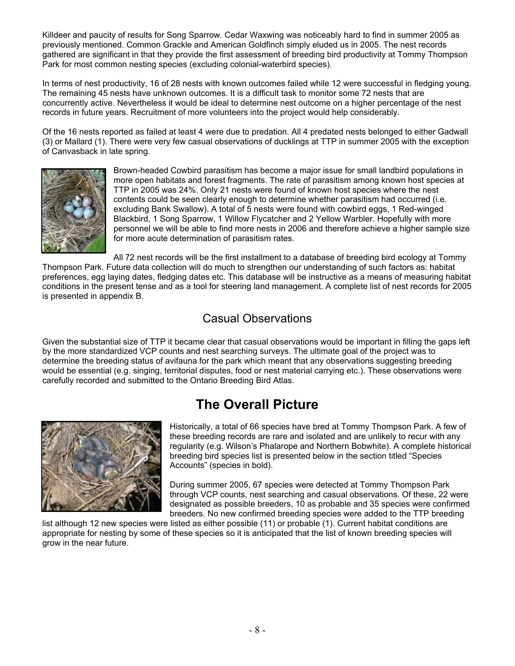Killdeer and paucity of results for Song Sparrow. Cedar Waxwing was noticeably hard to find in summer 2005 as previously mentioned. Common Grackle and American Goldfinch simply eluded us in 2005. The nest records gathered are significant in that they provide the first assessment of breeding bird productivity at Tommy Thompson Park for most common nesting species (excluding colonial-waterbird species).

In terms of nest productivity, 16 of 28 nests with known outcomes failed while 12 were successful in fledging young. The remaining 45 nests have unknown outcomes. It is a difficult task to monitor some 72 nests that are concurrently active. Nevertheless it would be ideal to determine nest outcome on a higher percentage of the nest records in future years. Recruitment of more volunteers into the project would help considerably.

Of the 16 nests reported as failed at least 4 were due to predation. All 4 predated nests belonged to either Gadwall (3) or Mallard (1). There were very few casual observations of ducklings at TTP in summer 2005 with the exception of Canvasback in late spring.



Brown-headed Cowbird parasitism has become a major issue for small landbird populations in more open habitats and forest fragments. The rate of parasitism among known host species at TTP in 2005 was 24%. Only 21 nests were found of known host species where the nest contents could be seen clearly enough to determine whether parasitism had occurred (i.e. excluding Bank Swallow). A total of 5 nests were found with cowbird eggs, 1 Red-winged Blackbird, 1 Song Sparrow, 1 Willow Flycatcher and 2 Yellow Warbler. Hopefully with more personnel we will be able to find more nests in 2006 and therefore achieve a higher sample size for more acute determination of parasitism rates.

All 72 nest records will be the first installment to a database of breeding bird ecology at Tommy

Thompson Park. Future data collection will do much to strengthen our understanding of such factors as: habitat preferences, egg laying dates, fledging dates etc. This database will be instructive as a means of measuring habitat conditions in the present tense and as a tool for steering land management. A complete list of nest records for 2005 is presented in appendix B.

## Casual Observations

Given the substantial size of TTP it became clear that casual observations would be important in filling the gaps left by the more standardized VCP counts and nest searching surveys. The ultimate goal of the project was to determine the breeding status of avifauna for the park which meant that any observations suggesting breeding would be essential (e.g. singing, territorial disputes, food or nest material carrying etc.). These observations were carefully recorded and submitted to the Ontario Breeding Bird Atlas.

## **The Overall Picture**



Historically, a total of 66 species have bred at Tommy Thompson Park. A few of these breeding records are rare and isolated and are unlikely to recur with any regularity (e.g. Wilson's Phalarope and Northern Bobwhite). A complete historical breeding bird species list is presented below in the section titled "Species Accounts" (species in bold).

During summer 2005, 67 species were detected at Tommy Thompson Park through VCP counts, nest searching and casual observations. Of these, 22 were designated as possible breeders, 10 as probable and 35 species were confirmed breeders. No new confirmed breeding species were added to the TTP breeding

list although 12 new species were listed as either possible (11) or probable (1). Current habitat conditions are appropriate for nesting by some of these species so it is anticipated that the list of known breeding species will grow in the near future.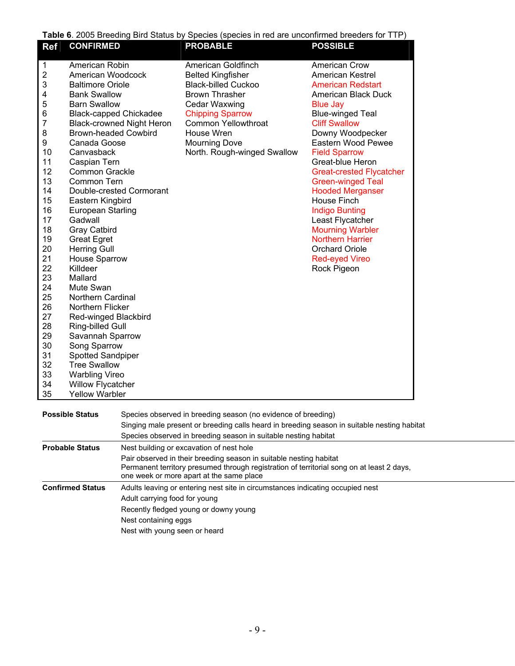**Table 6**. 2005 Breeding Bird Status by Species (species in red are unconfirmed breeders for TTP)

| <b>Ref</b>                                                                                                                                                                                                                  | <b>CONFIRMED</b>                                                                                                                                                                                                                                                                                                                                                                                                                                                                                                                                                                                                                                                                            |                                                              | <b>PROBABLE</b>                                                                                                                                                                                                                                             | <b>POSSIBLE</b>                                                                                                                                                                                                                                                                                                                                                                                                                                                                                                                             |  |  |  |
|-----------------------------------------------------------------------------------------------------------------------------------------------------------------------------------------------------------------------------|---------------------------------------------------------------------------------------------------------------------------------------------------------------------------------------------------------------------------------------------------------------------------------------------------------------------------------------------------------------------------------------------------------------------------------------------------------------------------------------------------------------------------------------------------------------------------------------------------------------------------------------------------------------------------------------------|--------------------------------------------------------------|-------------------------------------------------------------------------------------------------------------------------------------------------------------------------------------------------------------------------------------------------------------|---------------------------------------------------------------------------------------------------------------------------------------------------------------------------------------------------------------------------------------------------------------------------------------------------------------------------------------------------------------------------------------------------------------------------------------------------------------------------------------------------------------------------------------------|--|--|--|
| 1<br>$\overline{\mathbf{c}}$<br>3<br>4<br>5<br>6<br>7<br>8<br>9<br>10<br>11<br>12<br>13<br>14<br>15<br>16<br>17<br>18<br>19<br>20<br>21<br>22<br>23<br>24<br>25<br>26<br>27<br>28<br>29<br>30<br>31<br>32<br>33<br>34<br>35 | American Robin<br>American Woodcock<br><b>Baltimore Oriole</b><br><b>Bank Swallow</b><br><b>Barn Swallow</b><br><b>Black-capped Chickadee</b><br><b>Brown-headed Cowbird</b><br>Canada Goose<br>Canvasback<br>Caspian Tern<br>Common Grackle<br>Common Tern<br>Eastern Kingbird<br>European Starling<br>Gadwall<br>Gray Catbird<br><b>Great Egret</b><br><b>Herring Gull</b><br><b>House Sparrow</b><br>Killdeer<br>Mallard<br>Mute Swan<br>Northern Cardinal<br>Northern Flicker<br>Red-winged Blackbird<br>Ring-billed Gull<br>Savannah Sparrow<br>Song Sparrow<br>Spotted Sandpiper<br><b>Tree Swallow</b><br><b>Warbling Vireo</b><br><b>Willow Flycatcher</b><br><b>Yellow Warbler</b> | <b>Black-crowned Night Heron</b><br>Double-crested Cormorant | American Goldfinch<br><b>Belted Kingfisher</b><br><b>Black-billed Cuckoo</b><br><b>Brown Thrasher</b><br><b>Cedar Waxwing</b><br><b>Chipping Sparrow</b><br><b>Common Yellowthroat</b><br>House Wren<br><b>Mourning Dove</b><br>North. Rough-winged Swallow | <b>American Crow</b><br><b>American Kestrel</b><br><b>American Redstart</b><br>American Black Duck<br><b>Blue Jay</b><br><b>Blue-winged Teal</b><br><b>Cliff Swallow</b><br>Downy Woodpecker<br>Eastern Wood Pewee<br><b>Field Sparrow</b><br>Great-blue Heron<br><b>Great-crested Flycatcher</b><br><b>Green-winged Teal</b><br><b>Hooded Merganser</b><br>House Finch<br><b>Indigo Bunting</b><br>Least Flycatcher<br><b>Mourning Warbler</b><br><b>Northern Harrier</b><br><b>Orchard Oriole</b><br><b>Red-eyed Vireo</b><br>Rock Pigeon |  |  |  |
| <b>Possible Status</b>                                                                                                                                                                                                      |                                                                                                                                                                                                                                                                                                                                                                                                                                                                                                                                                                                                                                                                                             |                                                              | Species observed in breeding season (no evidence of breeding)<br>Singing male present or breeding calls heard in breeding season in suitable nesting habitat<br>Species observed in breeding season in suitable nesting habitat                             |                                                                                                                                                                                                                                                                                                                                                                                                                                                                                                                                             |  |  |  |
|                                                                                                                                                                                                                             | <b>Probable Status</b>                                                                                                                                                                                                                                                                                                                                                                                                                                                                                                                                                                                                                                                                      |                                                              | Nest building or excavation of nest hole                                                                                                                                                                                                                    |                                                                                                                                                                                                                                                                                                                                                                                                                                                                                                                                             |  |  |  |
| Pair observed in their breeding season in suitable nesting habitat<br>Permanent territory presumed through registration of territorial song on at least 2 days,<br>one week or more apart at the same place                 |                                                                                                                                                                                                                                                                                                                                                                                                                                                                                                                                                                                                                                                                                             |                                                              |                                                                                                                                                                                                                                                             |                                                                                                                                                                                                                                                                                                                                                                                                                                                                                                                                             |  |  |  |
|                                                                                                                                                                                                                             | <b>Confirmed Status</b>                                                                                                                                                                                                                                                                                                                                                                                                                                                                                                                                                                                                                                                                     |                                                              | Adults leaving or entering nest site in circumstances indicating occupied nest                                                                                                                                                                              |                                                                                                                                                                                                                                                                                                                                                                                                                                                                                                                                             |  |  |  |
|                                                                                                                                                                                                                             |                                                                                                                                                                                                                                                                                                                                                                                                                                                                                                                                                                                                                                                                                             | Adult carrying food for young                                |                                                                                                                                                                                                                                                             |                                                                                                                                                                                                                                                                                                                                                                                                                                                                                                                                             |  |  |  |
|                                                                                                                                                                                                                             |                                                                                                                                                                                                                                                                                                                                                                                                                                                                                                                                                                                                                                                                                             |                                                              | Recently fledged young or downy young                                                                                                                                                                                                                       |                                                                                                                                                                                                                                                                                                                                                                                                                                                                                                                                             |  |  |  |
| Nest containing eggs                                                                                                                                                                                                        |                                                                                                                                                                                                                                                                                                                                                                                                                                                                                                                                                                                                                                                                                             |                                                              |                                                                                                                                                                                                                                                             |                                                                                                                                                                                                                                                                                                                                                                                                                                                                                                                                             |  |  |  |
| Nest with young seen or heard                                                                                                                                                                                               |                                                                                                                                                                                                                                                                                                                                                                                                                                                                                                                                                                                                                                                                                             |                                                              |                                                                                                                                                                                                                                                             |                                                                                                                                                                                                                                                                                                                                                                                                                                                                                                                                             |  |  |  |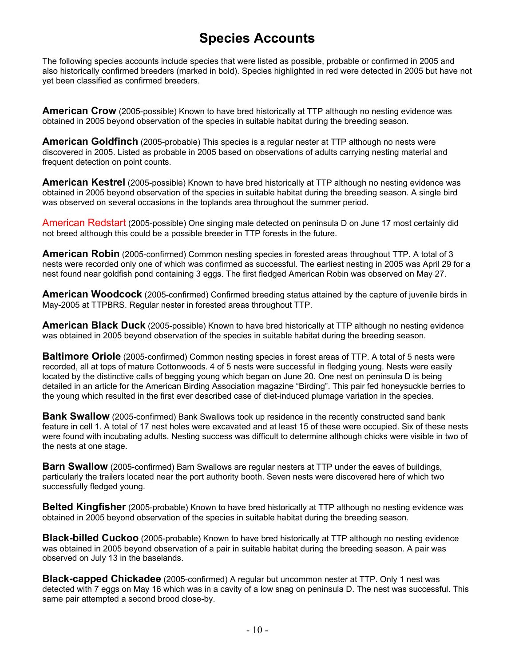## **Species Accounts**

The following species accounts include species that were listed as possible, probable or confirmed in 2005 and also historically confirmed breeders (marked in bold). Species highlighted in red were detected in 2005 but have not yet been classified as confirmed breeders.

**American Crow** (2005-possible) Known to have bred historically at TTP although no nesting evidence was obtained in 2005 beyond observation of the species in suitable habitat during the breeding season.

**American Goldfinch** (2005-probable) This species is a regular nester at TTP although no nests were discovered in 2005. Listed as probable in 2005 based on observations of adults carrying nesting material and frequent detection on point counts.

**American Kestrel** (2005-possible) Known to have bred historically at TTP although no nesting evidence was obtained in 2005 beyond observation of the species in suitable habitat during the breeding season. A single bird was observed on several occasions in the toplands area throughout the summer period.

American Redstart (2005-possible) One singing male detected on peninsula D on June 17 most certainly did not breed although this could be a possible breeder in TTP forests in the future.

**American Robin** (2005-confirmed) Common nesting species in forested areas throughout TTP. A total of 3 nests were recorded only one of which was confirmed as successful. The earliest nesting in 2005 was April 29 for a nest found near goldfish pond containing 3 eggs. The first fledged American Robin was observed on May 27.

**American Woodcock** (2005-confirmed) Confirmed breeding status attained by the capture of juvenile birds in May-2005 at TTPBRS. Regular nester in forested areas throughout TTP.

**American Black Duck** (2005-possible) Known to have bred historically at TTP although no nesting evidence was obtained in 2005 beyond observation of the species in suitable habitat during the breeding season.

**Baltimore Oriole** (2005-confirmed) Common nesting species in forest areas of TTP. A total of 5 nests were recorded, all at tops of mature Cottonwoods. 4 of 5 nests were successful in fledging young. Nests were easily located by the distinctive calls of begging young which began on June 20. One nest on peninsula D is being detailed in an article for the American Birding Association magazine "Birding". This pair fed honeysuckle berries to the young which resulted in the first ever described case of diet-induced plumage variation in the species.

**Bank Swallow** (2005-confirmed) Bank Swallows took up residence in the recently constructed sand bank feature in cell 1. A total of 17 nest holes were excavated and at least 15 of these were occupied. Six of these nests were found with incubating adults. Nesting success was difficult to determine although chicks were visible in two of the nests at one stage.

**Barn Swallow** (2005-confirmed) Barn Swallows are regular nesters at TTP under the eaves of buildings, particularly the trailers located near the port authority booth. Seven nests were discovered here of which two successfully fledged young.

**Belted Kingfisher** (2005-probable) Known to have bred historically at TTP although no nesting evidence was obtained in 2005 beyond observation of the species in suitable habitat during the breeding season.

**Black-billed Cuckoo** (2005-probable) Known to have bred historically at TTP although no nesting evidence was obtained in 2005 beyond observation of a pair in suitable habitat during the breeding season. A pair was observed on July 13 in the baselands.

**Black-capped Chickadee** (2005-confirmed) A regular but uncommon nester at TTP. Only 1 nest was detected with 7 eggs on May 16 which was in a cavity of a low snag on peninsula D. The nest was successful. This same pair attempted a second brood close-by.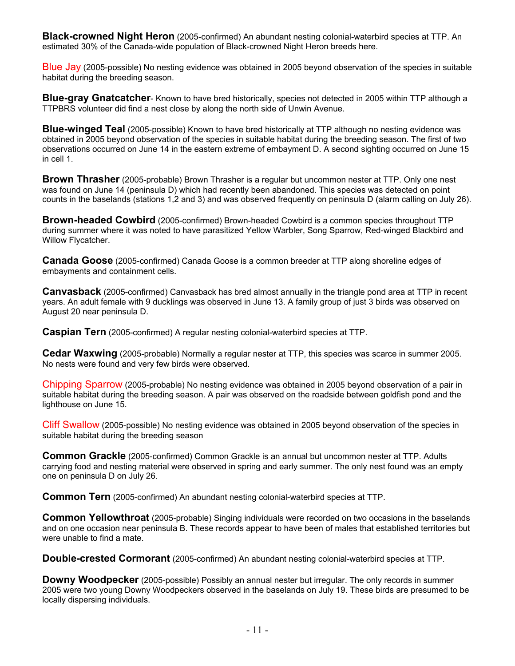**Black-crowned Night Heron** (2005-confirmed) An abundant nesting colonial-waterbird species at TTP. An estimated 30% of the Canada-wide population of Black-crowned Night Heron breeds here.

Blue Jay (2005-possible) No nesting evidence was obtained in 2005 beyond observation of the species in suitable habitat during the breeding season.

**Blue-gray Gnatcatcher**- Known to have bred historically, species not detected in 2005 within TTP although a TTPBRS volunteer did find a nest close by along the north side of Unwin Avenue.

**Blue-winged Teal** (2005-possible) Known to have bred historically at TTP although no nesting evidence was obtained in 2005 beyond observation of the species in suitable habitat during the breeding season. The first of two observations occurred on June 14 in the eastern extreme of embayment D. A second sighting occurred on June 15 in cell 1.

**Brown Thrasher** (2005-probable) Brown Thrasher is a regular but uncommon nester at TTP. Only one nest was found on June 14 (peninsula D) which had recently been abandoned. This species was detected on point counts in the baselands (stations 1,2 and 3) and was observed frequently on peninsula D (alarm calling on July 26).

**Brown-headed Cowbird** (2005-confirmed) Brown-headed Cowbird is a common species throughout TTP during summer where it was noted to have parasitized Yellow Warbler, Song Sparrow, Red-winged Blackbird and Willow Flycatcher.

**Canada Goose** (2005-confirmed) Canada Goose is a common breeder at TTP along shoreline edges of embayments and containment cells.

**Canvasback** (2005-confirmed) Canvasback has bred almost annually in the triangle pond area at TTP in recent years. An adult female with 9 ducklings was observed in June 13. A family group of just 3 birds was observed on August 20 near peninsula D.

**Caspian Tern** (2005-confirmed) A regular nesting colonial-waterbird species at TTP.

**Cedar Waxwing** (2005-probable) Normally a regular nester at TTP, this species was scarce in summer 2005. No nests were found and very few birds were observed.

Chipping Sparrow (2005-probable) No nesting evidence was obtained in 2005 beyond observation of a pair in suitable habitat during the breeding season. A pair was observed on the roadside between goldfish pond and the lighthouse on June 15.

Cliff Swallow (2005-possible) No nesting evidence was obtained in 2005 beyond observation of the species in suitable habitat during the breeding season

**Common Grackle** (2005-confirmed) Common Grackle is an annual but uncommon nester at TTP. Adults carrying food and nesting material were observed in spring and early summer. The only nest found was an empty one on peninsula D on July 26.

**Common Tern** (2005-confirmed) An abundant nesting colonial-waterbird species at TTP.

**Common Yellowthroat** (2005-probable) Singing individuals were recorded on two occasions in the baselands and on one occasion near peninsula B. These records appear to have been of males that established territories but were unable to find a mate.

**Double-crested Cormorant** (2005-confirmed) An abundant nesting colonial-waterbird species at TTP.

**Downy Woodpecker** (2005-possible) Possibly an annual nester but irregular. The only records in summer 2005 were two young Downy Woodpeckers observed in the baselands on July 19. These birds are presumed to be locally dispersing individuals.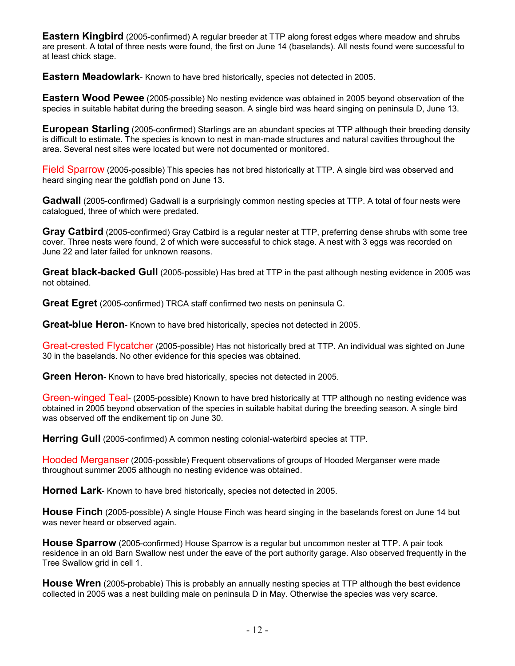**Eastern Kingbird** (2005-confirmed) A regular breeder at TTP along forest edges where meadow and shrubs are present. A total of three nests were found, the first on June 14 (baselands). All nests found were successful to at least chick stage.

**Eastern Meadowlark**- Known to have bred historically, species not detected in 2005.

**Eastern Wood Pewee** (2005-possible) No nesting evidence was obtained in 2005 beyond observation of the species in suitable habitat during the breeding season. A single bird was heard singing on peninsula D, June 13.

**European Starling** (2005-confirmed) Starlings are an abundant species at TTP although their breeding density is difficult to estimate. The species is known to nest in man-made structures and natural cavities throughout the area. Several nest sites were located but were not documented or monitored.

Field Sparrow (2005-possible) This species has not bred historically at TTP. A single bird was observed and heard singing near the goldfish pond on June 13.

**Gadwall** (2005-confirmed) Gadwall is a surprisingly common nesting species at TTP. A total of four nests were catalogued, three of which were predated.

**Gray Catbird** (2005-confirmed) Gray Catbird is a regular nester at TTP, preferring dense shrubs with some tree cover. Three nests were found, 2 of which were successful to chick stage. A nest with 3 eggs was recorded on June 22 and later failed for unknown reasons.

**Great black-backed Gull** (2005-possible) Has bred at TTP in the past although nesting evidence in 2005 was not obtained.

**Great Egret** (2005-confirmed) TRCA staff confirmed two nests on peninsula C.

**Great-blue Heron**- Known to have bred historically, species not detected in 2005.

Great-crested Flycatcher (2005-possible) Has not historically bred at TTP. An individual was sighted on June 30 in the baselands. No other evidence for this species was obtained.

**Green Heron**- Known to have bred historically, species not detected in 2005.

Green-winged Teal- (2005-possible) Known to have bred historically at TTP although no nesting evidence was obtained in 2005 beyond observation of the species in suitable habitat during the breeding season. A single bird was observed off the endikement tip on June 30.

**Herring Gull** (2005-confirmed) A common nesting colonial-waterbird species at TTP.

Hooded Merganser (2005-possible) Frequent observations of groups of Hooded Merganser were made throughout summer 2005 although no nesting evidence was obtained.

**Horned Lark**- Known to have bred historically, species not detected in 2005.

**House Finch** (2005-possible) A single House Finch was heard singing in the baselands forest on June 14 but was never heard or observed again.

**House Sparrow** (2005-confirmed) House Sparrow is a regular but uncommon nester at TTP. A pair took residence in an old Barn Swallow nest under the eave of the port authority garage. Also observed frequently in the Tree Swallow grid in cell 1.

**House Wren** (2005-probable) This is probably an annually nesting species at TTP although the best evidence collected in 2005 was a nest building male on peninsula D in May. Otherwise the species was very scarce.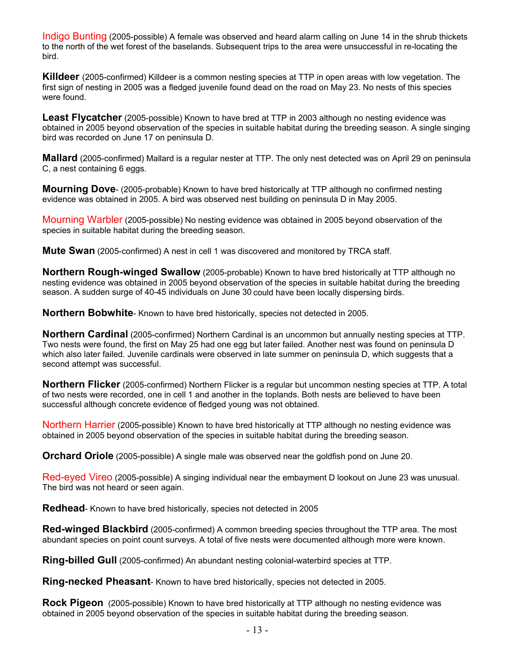Indigo Bunting (2005-possible) A female was observed and heard alarm calling on June 14 in the shrub thickets to the north of the wet forest of the baselands. Subsequent trips to the area were unsuccessful in re-locating the bird.

**Killdeer** (2005-confirmed) Killdeer is a common nesting species at TTP in open areas with low vegetation. The first sign of nesting in 2005 was a fledged juvenile found dead on the road on May 23. No nests of this species were found.

**Least Flycatcher** (2005-possible) Known to have bred at TTP in 2003 although no nesting evidence was obtained in 2005 beyond observation of the species in suitable habitat during the breeding season. A single singing bird was recorded on June 17 on peninsula D.

**Mallard** (2005-confirmed) Mallard is a regular nester at TTP. The only nest detected was on April 29 on peninsula C, a nest containing 6 eggs.

**Mourning Dove**- (2005-probable) Known to have bred historically at TTP although no confirmed nesting evidence was obtained in 2005. A bird was observed nest building on peninsula D in May 2005.

Mourning Warbler (2005-possible) No nesting evidence was obtained in 2005 beyond observation of the species in suitable habitat during the breeding season.

**Mute Swan** (2005-confirmed) A nest in cell 1 was discovered and monitored by TRCA staff.

**Northern Rough-winged Swallow** (2005-probable) Known to have bred historically at TTP although no nesting evidence was obtained in 2005 beyond observation of the species in suitable habitat during the breeding season. A sudden surge of 40-45 individuals on June 30 could have been locally dispersing birds.

**Northern Bobwhite**- Known to have bred historically, species not detected in 2005.

**Northern Cardinal** (2005-confirmed) Northern Cardinal is an uncommon but annually nesting species at TTP. Two nests were found, the first on May 25 had one egg but later failed. Another nest was found on peninsula D which also later failed. Juvenile cardinals were observed in late summer on peninsula D, which suggests that a second attempt was successful.

**Northern Flicker** (2005-confirmed) Northern Flicker is a regular but uncommon nesting species at TTP. A total of two nests were recorded, one in cell 1 and another in the toplands. Both nests are believed to have been successful although concrete evidence of fledged young was not obtained.

Northern Harrier (2005-possible) Known to have bred historically at TTP although no nesting evidence was obtained in 2005 beyond observation of the species in suitable habitat during the breeding season.

**Orchard Oriole** (2005-possible) A single male was observed near the goldfish pond on June 20.

Red-eyed Vireo (2005-possible) A singing individual near the embayment D lookout on June 23 was unusual. The bird was not heard or seen again.

**Redhead**- Known to have bred historically, species not detected in 2005

**Red-winged Blackbird** (2005-confirmed) A common breeding species throughout the TTP area. The most abundant species on point count surveys. A total of five nests were documented although more were known.

**Ring-billed Gull** (2005-confirmed) An abundant nesting colonial-waterbird species at TTP.

**Ring-necked Pheasant**- Known to have bred historically, species not detected in 2005.

**Rock Pigeon** (2005-possible) Known to have bred historically at TTP although no nesting evidence was obtained in 2005 beyond observation of the species in suitable habitat during the breeding season.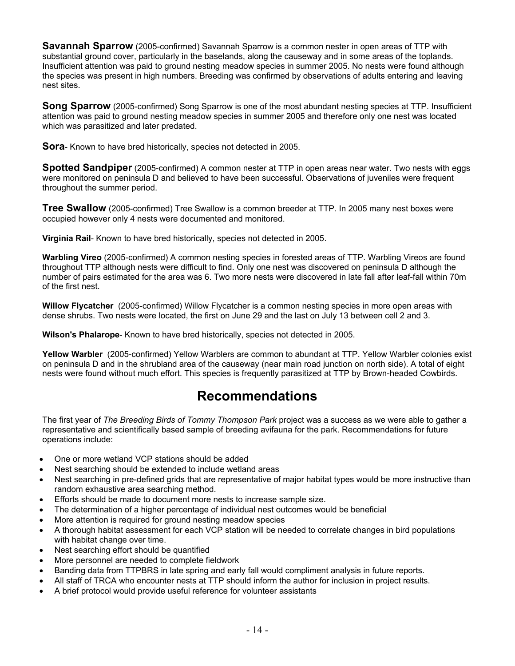**Savannah Sparrow** (2005-confirmed) Savannah Sparrow is a common nester in open areas of TTP with substantial ground cover, particularly in the baselands, along the causeway and in some areas of the toplands. Insufficient attention was paid to ground nesting meadow species in summer 2005. No nests were found although the species was present in high numbers. Breeding was confirmed by observations of adults entering and leaving nest sites.

**Song Sparrow** (2005-confirmed) Song Sparrow is one of the most abundant nesting species at TTP. Insufficient attention was paid to ground nesting meadow species in summer 2005 and therefore only one nest was located which was parasitized and later predated.

**Sora**- Known to have bred historically, species not detected in 2005.

**Spotted Sandpiper** (2005-confirmed) A common nester at TTP in open areas near water. Two nests with eggs were monitored on peninsula D and believed to have been successful. Observations of juveniles were frequent throughout the summer period.

**Tree Swallow** (2005-confirmed) Tree Swallow is a common breeder at TTP. In 2005 many nest boxes were occupied however only 4 nests were documented and monitored.

**Virginia Rail**- Known to have bred historically, species not detected in 2005.

**Warbling Vireo** (2005-confirmed) A common nesting species in forested areas of TTP. Warbling Vireos are found throughout TTP although nests were difficult to find. Only one nest was discovered on peninsula D although the number of pairs estimated for the area was 6. Two more nests were discovered in late fall after leaf-fall within 70m of the first nest.

**Willow Flycatcher** (2005-confirmed) Willow Flycatcher is a common nesting species in more open areas with dense shrubs. Two nests were located, the first on June 29 and the last on July 13 between cell 2 and 3.

**Wilson's Phalarope**- Known to have bred historically, species not detected in 2005.

**Yellow Warbler** (2005-confirmed) Yellow Warblers are common to abundant at TTP. Yellow Warbler colonies exist on peninsula D and in the shrubland area of the causeway (near main road junction on north side). A total of eight nests were found without much effort. This species is frequently parasitized at TTP by Brown-headed Cowbirds.

## **Recommendations**

The first year of *The Breeding Birds of Tommy Thompson Park* project was a success as we were able to gather a representative and scientifically based sample of breeding avifauna for the park. Recommendations for future operations include:

- One or more wetland VCP stations should be added
- Nest searching should be extended to include wetland areas
- Nest searching in pre-defined grids that are representative of major habitat types would be more instructive than random exhaustive area searching method.
- Efforts should be made to document more nests to increase sample size.
- The determination of a higher percentage of individual nest outcomes would be beneficial
- More attention is required for ground nesting meadow species
- A thorough habitat assessment for each VCP station will be needed to correlate changes in bird populations with habitat change over time.
- Nest searching effort should be quantified
- More personnel are needed to complete fieldwork
- Banding data from TTPBRS in late spring and early fall would compliment analysis in future reports.
- All staff of TRCA who encounter nests at TTP should inform the author for inclusion in project results.
- A brief protocol would provide useful reference for volunteer assistants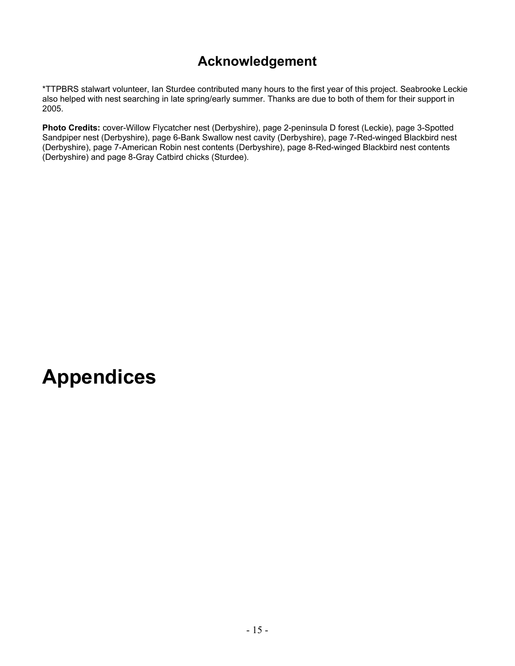## **Acknowledgement**

\*TTPBRS stalwart volunteer, Ian Sturdee contributed many hours to the first year of this project. Seabrooke Leckie also helped with nest searching in late spring/early summer. Thanks are due to both of them for their support in 2005.

**Photo Credits:** cover-Willow Flycatcher nest (Derbyshire), page 2-peninsula D forest (Leckie), page 3-Spotted Sandpiper nest (Derbyshire), page 6-Bank Swallow nest cavity (Derbyshire), page 7-Red-winged Blackbird nest (Derbyshire), page 7-American Robin nest contents (Derbyshire), page 8-Red-winged Blackbird nest contents (Derbyshire) and page 8-Gray Catbird chicks (Sturdee).

## **Appendices**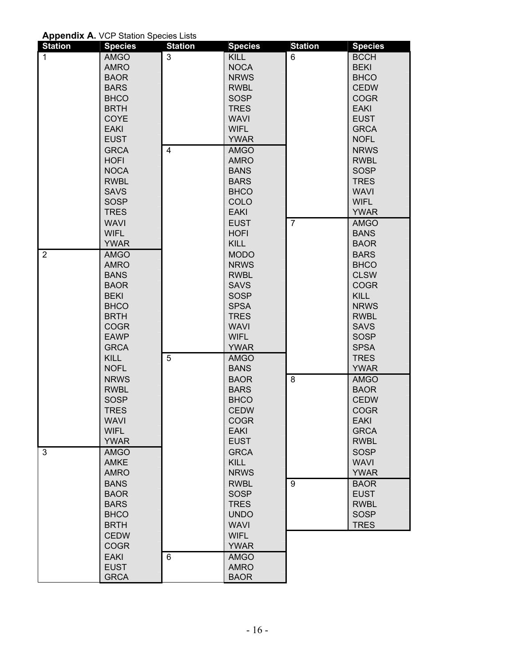**Appendix A.** VCP Station Species Lists

| <b>Station</b> | <b>Species</b> | <b>Station</b> | <b>Species</b> | <b>Station</b> | <b>Species</b> |
|----------------|----------------|----------------|----------------|----------------|----------------|
| $\mathbf{1}$   | AMGO           | 3              | <b>KILL</b>    | 6              | <b>BCCH</b>    |
|                | <b>AMRO</b>    |                | <b>NOCA</b>    |                | <b>BEKI</b>    |
|                | <b>BAOR</b>    |                | <b>NRWS</b>    |                | <b>BHCO</b>    |
|                | <b>BARS</b>    |                | <b>RWBL</b>    |                | <b>CEDW</b>    |
|                | <b>BHCO</b>    |                | <b>SOSP</b>    |                | <b>COGR</b>    |
|                | <b>BRTH</b>    |                | <b>TRES</b>    |                | <b>EAKI</b>    |
|                | COYE           |                | <b>WAVI</b>    |                | <b>EUST</b>    |
|                | <b>EAKI</b>    |                | <b>WIFL</b>    |                | <b>GRCA</b>    |
|                | <b>EUST</b>    |                | <b>YWAR</b>    |                | <b>NOFL</b>    |
|                | <b>GRCA</b>    | $\overline{4}$ | AMGO           |                | <b>NRWS</b>    |
|                | <b>HOFI</b>    |                | <b>AMRO</b>    |                | <b>RWBL</b>    |
|                | <b>NOCA</b>    |                | <b>BANS</b>    |                | <b>SOSP</b>    |
|                | <b>RWBL</b>    |                | <b>BARS</b>    |                | <b>TRES</b>    |
|                | <b>SAVS</b>    |                | <b>BHCO</b>    |                | <b>WAVI</b>    |
|                | <b>SOSP</b>    |                | COLO           |                | <b>WIFL</b>    |
|                | <b>TRES</b>    |                | <b>EAKI</b>    |                | <b>YWAR</b>    |
|                | <b>WAVI</b>    |                | <b>EUST</b>    | $\overline{7}$ | <b>AMGO</b>    |
|                | <b>WIFL</b>    |                | <b>HOFI</b>    |                | <b>BANS</b>    |
|                | <b>YWAR</b>    |                | <b>KILL</b>    |                | <b>BAOR</b>    |
| $\overline{2}$ | <b>AMGO</b>    |                | <b>MODO</b>    |                | <b>BARS</b>    |
|                | <b>AMRO</b>    |                | <b>NRWS</b>    |                | <b>BHCO</b>    |
|                | <b>BANS</b>    |                | <b>RWBL</b>    |                | <b>CLSW</b>    |
|                | <b>BAOR</b>    |                | <b>SAVS</b>    |                | <b>COGR</b>    |
|                | <b>BEKI</b>    |                | <b>SOSP</b>    |                | <b>KILL</b>    |
|                | <b>BHCO</b>    |                | <b>SPSA</b>    |                | <b>NRWS</b>    |
|                | <b>BRTH</b>    |                | <b>TRES</b>    |                | <b>RWBL</b>    |
|                | <b>COGR</b>    |                | <b>WAVI</b>    |                | <b>SAVS</b>    |
|                | <b>EAWP</b>    |                | <b>WIFL</b>    |                | <b>SOSP</b>    |
|                | <b>GRCA</b>    |                | <b>YWAR</b>    |                | <b>SPSA</b>    |
|                | <b>KILL</b>    | 5              | <b>AMGO</b>    |                | <b>TRES</b>    |
|                | <b>NOFL</b>    |                | <b>BANS</b>    |                | <b>YWAR</b>    |
|                | <b>NRWS</b>    |                | <b>BAOR</b>    | 8              | <b>AMGO</b>    |
|                | <b>RWBL</b>    |                | <b>BARS</b>    |                | <b>BAOR</b>    |
|                | <b>SOSP</b>    |                | <b>BHCO</b>    |                | <b>CEDW</b>    |
|                | <b>TRES</b>    |                | <b>CEDW</b>    |                | <b>COGR</b>    |
|                | <b>WAVI</b>    |                | <b>COGR</b>    |                | <b>EAKI</b>    |
|                | <b>WIFL</b>    |                | <b>EAKI</b>    |                | <b>GRCA</b>    |
|                | <b>YWAR</b>    |                | <b>EUST</b>    |                | <b>RWBL</b>    |
| 3              | <b>AMGO</b>    |                | <b>GRCA</b>    |                | <b>SOSP</b>    |
|                | <b>AMKE</b>    |                | <b>KILL</b>    |                | <b>WAVI</b>    |
|                | <b>AMRO</b>    |                | <b>NRWS</b>    |                | <b>YWAR</b>    |
|                | <b>BANS</b>    |                | <b>RWBL</b>    | 9              | <b>BAOR</b>    |
|                | <b>BAOR</b>    |                | <b>SOSP</b>    |                | <b>EUST</b>    |
|                | <b>BARS</b>    |                | <b>TRES</b>    |                | <b>RWBL</b>    |
|                | <b>BHCO</b>    |                | <b>UNDO</b>    |                | <b>SOSP</b>    |
|                | <b>BRTH</b>    |                | <b>WAVI</b>    |                | <b>TRES</b>    |
|                | <b>CEDW</b>    |                | <b>WIFL</b>    |                |                |
|                | <b>COGR</b>    |                | <b>YWAR</b>    |                |                |
|                | <b>EAKI</b>    | 6              | <b>AMGO</b>    |                |                |
|                | <b>EUST</b>    |                | <b>AMRO</b>    |                |                |
|                | <b>GRCA</b>    |                | <b>BAOR</b>    |                |                |
|                |                |                |                |                |                |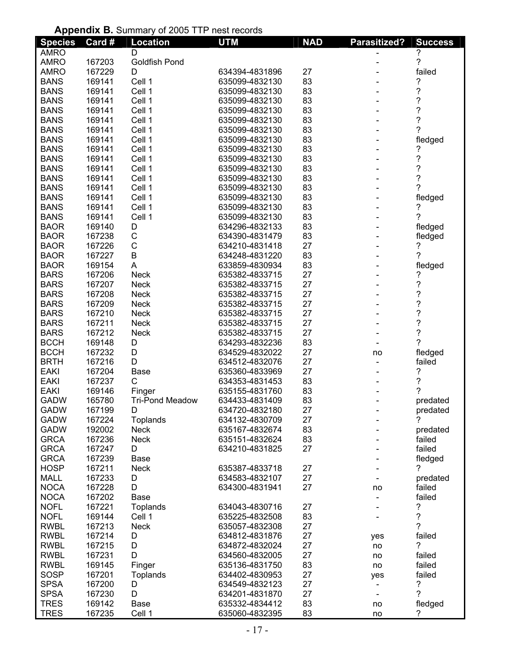#### **Appendix B.** Summary of 2005 TTP nest records

| <b>Species</b> | Card #           | <b>Appointing</b> : Summary of 2000 The nest records<br><b>Location</b> | <b>UTM</b>                       | <b>NAD</b> | Parasitized?             | <b>Success</b>           |
|----------------|------------------|-------------------------------------------------------------------------|----------------------------------|------------|--------------------------|--------------------------|
| <b>AMRO</b>    |                  | D                                                                       |                                  |            |                          |                          |
| <b>AMRO</b>    | 167203           | <b>Goldfish Pond</b>                                                    |                                  |            |                          | ?                        |
| <b>AMRO</b>    | 167229           | D                                                                       | 634394-4831896                   | 27         |                          | failed                   |
| <b>BANS</b>    | 169141           | Cell 1                                                                  | 635099-4832130                   | 83         |                          | ?                        |
| <b>BANS</b>    | 169141           | Cell 1                                                                  | 635099-4832130                   | 83         |                          | $\overline{\mathcal{C}}$ |
| <b>BANS</b>    | 169141           | Cell 1                                                                  | 635099-4832130                   | 83         |                          | ?                        |
| <b>BANS</b>    | 169141           | Cell 1                                                                  | 635099-4832130                   | 83         |                          | $\overline{\mathcal{C}}$ |
| <b>BANS</b>    | 169141           | Cell 1                                                                  | 635099-4832130                   | 83         |                          | $\overline{\mathcal{C}}$ |
| <b>BANS</b>    | 169141           | Cell 1                                                                  | 635099-4832130                   | 83         |                          | 7                        |
| <b>BANS</b>    | 169141           | Cell 1                                                                  | 635099-4832130                   | 83         |                          |                          |
| <b>BANS</b>    | 169141           | Cell 1                                                                  | 635099-4832130                   | 83         |                          | fledged                  |
| <b>BANS</b>    |                  | Cell 1                                                                  |                                  | 83         |                          | ?                        |
|                | 169141           |                                                                         | 635099-4832130<br>635099-4832130 | 83         |                          | $\ddot{\text{ }2}$       |
| <b>BANS</b>    | 169141<br>169141 | Cell 1                                                                  |                                  | 83         |                          | $\tilde{?}$              |
| <b>BANS</b>    |                  | Cell 1                                                                  | 635099-4832130                   |            |                          | 2                        |
| <b>BANS</b>    | 169141           | Cell 1                                                                  | 635099-4832130                   | 83         |                          |                          |
| <b>BANS</b>    | 169141           | Cell 1                                                                  | 635099-4832130                   | 83         |                          | fledged<br>7             |
| <b>BANS</b>    | 169141           | Cell 1                                                                  | 635099-4832130                   | 83         |                          | 7                        |
| <b>BANS</b>    | 169141           | Cell 1                                                                  | 635099-4832130                   | 83         |                          |                          |
| <b>BAOR</b>    | 169140           | D                                                                       | 634296-4832133                   | 83         |                          | fledged                  |
| <b>BAOR</b>    | 167238           | C                                                                       | 634390-4831479                   | 83         |                          | fledged                  |
| <b>BAOR</b>    | 167226           | C                                                                       | 634210-4831418                   | 27         |                          | ?                        |
| <b>BAOR</b>    | 167227           | B                                                                       | 634248-4831220                   | 83         |                          | 7                        |
| <b>BAOR</b>    | 169154           | A                                                                       | 633859-4830934                   | 83         |                          | fledged                  |
| <b>BARS</b>    | 167206           | <b>Neck</b>                                                             | 635382-4833715                   | 27         |                          | ?                        |
| <b>BARS</b>    | 167207           | <b>Neck</b>                                                             | 635382-4833715                   | 27         |                          | ?                        |
| <b>BARS</b>    | 167208           | <b>Neck</b>                                                             | 635382-4833715                   | 27         |                          | ?                        |
| <b>BARS</b>    | 167209           | <b>Neck</b>                                                             | 635382-4833715                   | 27         |                          | $\ddot{\phantom{0}}$     |
| <b>BARS</b>    | 167210           | <b>Neck</b>                                                             | 635382-4833715                   | 27         |                          | $\ddot{\phantom{0}}$     |
| <b>BARS</b>    | 167211           | <b>Neck</b>                                                             | 635382-4833715                   | 27         |                          | $\ddot{\phantom{0}}$     |
| <b>BARS</b>    | 167212           | <b>Neck</b>                                                             | 635382-4833715                   | 27         |                          | $\overline{\mathcal{C}}$ |
| <b>BCCH</b>    | 169148           | D                                                                       | 634293-4832236                   | 83         |                          | ?                        |
| <b>BCCH</b>    | 167232           | D                                                                       | 634529-4832022                   | 27         | no                       | fledged                  |
| <b>BRTH</b>    | 167216           | D                                                                       | 634512-4832076                   | 27         |                          | failed                   |
| <b>EAKI</b>    | 167204           | <b>Base</b>                                                             | 635360-4833969                   | 27         |                          | ?                        |
| <b>EAKI</b>    | 167237           | C                                                                       | 634353-4831453                   | 83         |                          | ?                        |
| <b>EAKI</b>    | 169146           | Finger                                                                  | 635155-4831760                   | 83         |                          | ?                        |
| <b>GADW</b>    | 165780           | <b>Tri-Pond Meadow</b>                                                  | 634433-4831409                   | 83         |                          | predated                 |
| <b>GADW</b>    | 167199           | D                                                                       | 634720-4832180                   | 27         |                          | predated                 |
| <b>GADW</b>    | 167224           | Toplands                                                                | 634132-4830709                   | 27         |                          | ?                        |
| <b>GADW</b>    | 192002           | <b>Neck</b>                                                             | 635167-4832674                   | 83         |                          | predated                 |
| <b>GRCA</b>    | 167236           | <b>Neck</b>                                                             | 635151-4832624                   | 83         |                          | failed                   |
| <b>GRCA</b>    | 167247           | D                                                                       | 634210-4831825                   | 27         |                          | failed                   |
| <b>GRCA</b>    | 167239           | <b>Base</b>                                                             |                                  |            |                          | fledged                  |
| <b>HOSP</b>    | 167211           | Neck                                                                    | 635387-4833718                   | 27         |                          | ?                        |
| MALL           | 167233           | D                                                                       | 634583-4832107                   | 27         |                          | predated                 |
| <b>NOCA</b>    | 167228           | D                                                                       | 634300-4831941                   | 27         | no                       | failed                   |
| <b>NOCA</b>    | 167202           | <b>Base</b>                                                             |                                  |            |                          | failed                   |
| <b>NOFL</b>    | 167221           | Toplands                                                                | 634043-4830716                   | 27         |                          | ?                        |
| <b>NOFL</b>    | 169144           | Cell 1                                                                  | 635225-4832508                   | 83         |                          | ?                        |
| <b>RWBL</b>    | 167213           | <b>Neck</b>                                                             | 635057-4832308                   | 27         |                          | ?                        |
| <b>RWBL</b>    | 167214           | D                                                                       | 634812-4831876                   | 27         | yes                      | failed                   |
| <b>RWBL</b>    | 167215           | D                                                                       | 634872-4832024                   | 27         | no                       | ?                        |
| <b>RWBL</b>    | 167231           | D                                                                       | 634560-4832005                   | 27         | no                       | failed                   |
| <b>RWBL</b>    | 169145           | Finger                                                                  | 635136-4831750                   | 83         | no                       | failed                   |
| SOSP           | 167201           | Toplands                                                                | 634402-4830953                   | 27         | yes                      | failed                   |
| <b>SPSA</b>    | 167200           | D                                                                       | 634549-4832123                   | 27         | $\overline{\phantom{a}}$ | ?                        |
| <b>SPSA</b>    | 167230           | D                                                                       | 634201-4831870                   | 27         |                          | ?                        |
| <b>TRES</b>    | 169142           | Base                                                                    | 635332-4834412                   | 83         | no                       | fledged                  |
| <b>TRES</b>    | 167235           | Cell 1                                                                  | 635060-4832395                   | 83         | no                       | ?                        |